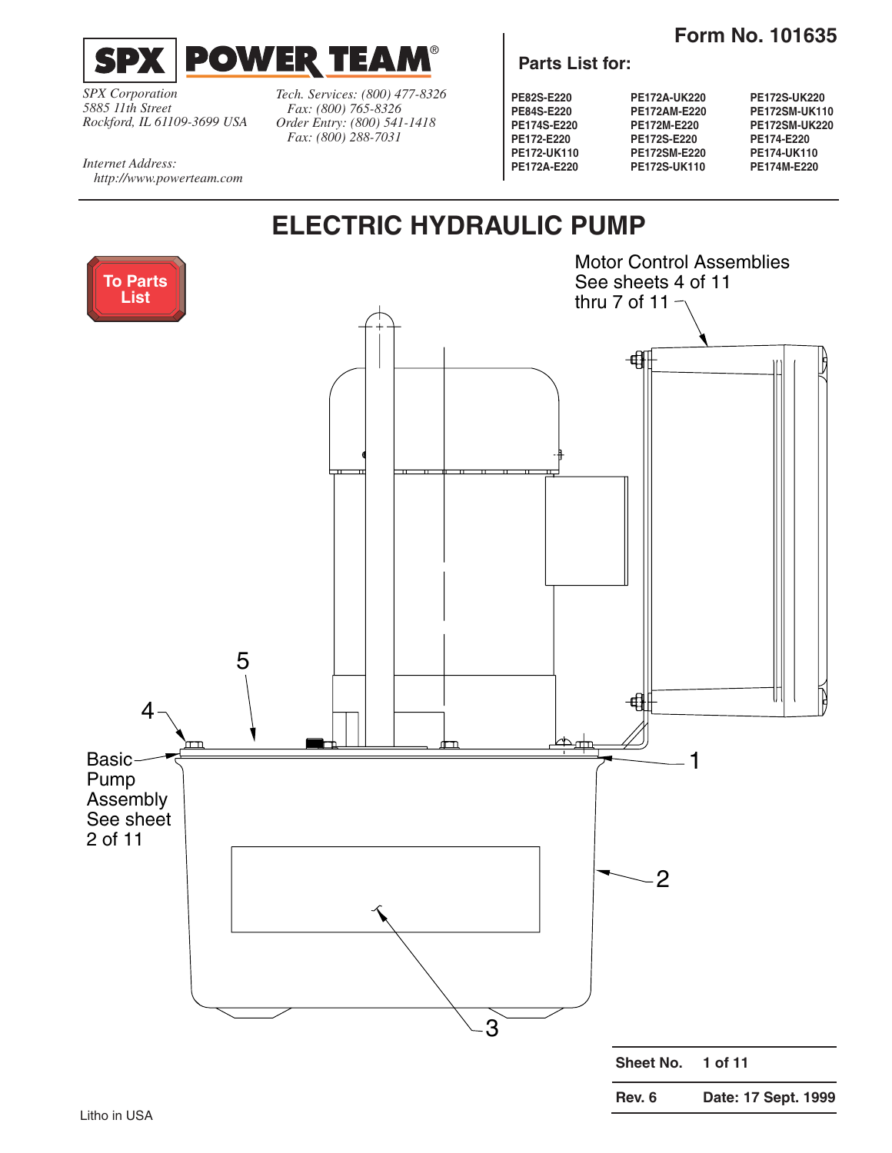

<span id="page-0-0"></span>

*SPX Corporation 5885 11th Street Rockford, IL 61109-3699 USA*

*http://www.powerteam.com*

*Internet Address:* 

*Tech. Services: (800) 477-8326 Fax: (800) 765-8326 Order Entry: (800) 541-1418 Fax: (800) 288-7031*

#### **Parts List for:**

**PE82S-E220 PE84S-E220 PE174S-E220 PE172-E220 PE172-UK110 PE172A-E220** **PE172A-UK220 PE172AM-E220 PE172M-E220 PE172S-E220 PE172SM-E220 PE172S-UK110** **PE172S-UK220 PE172SM-UK110 PE172SM-UK220 PE174-E220 PE174-UK110 PE174M-E220**

# **ELECTRIC HYDRAULIC PUMP**

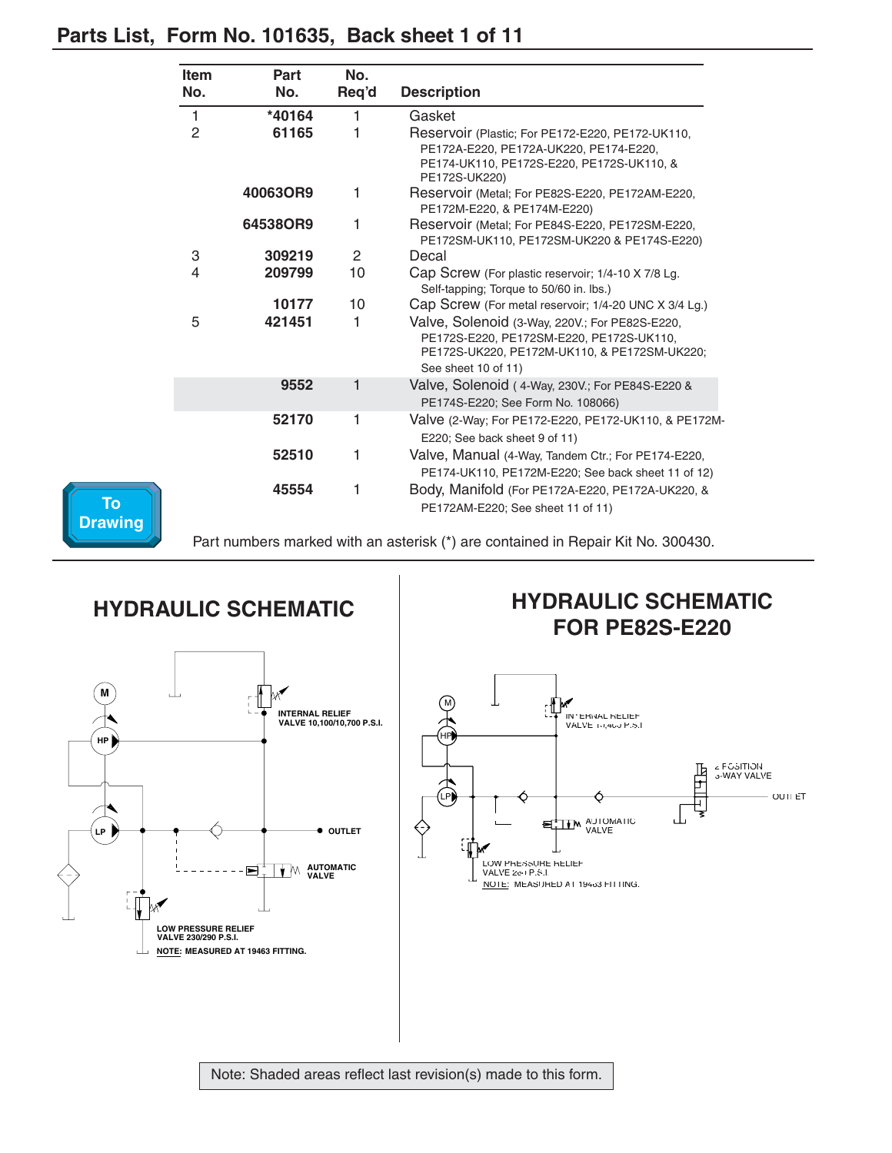| <b>Item</b><br>No. | Part<br>No. | No.<br>Req'd   | <b>Description</b>                                                                                                                                                |
|--------------------|-------------|----------------|-------------------------------------------------------------------------------------------------------------------------------------------------------------------|
| 1                  | *40164      | 1              | Gasket                                                                                                                                                            |
| 2                  | 61165       | 1              | Reservoir (Plastic; For PE172-E220, PE172-UK110,<br>PE172A-E220, PE172A-UK220, PE174-E220,<br>PE174-UK110, PE172S-E220, PE172S-UK110, &<br>PE172S-UK220)          |
|                    | 40063OR9    | 1              | Reservoir (Metal; For PE82S-E220, PE172AM-E220,<br>PE172M-E220, & PE174M-E220)                                                                                    |
|                    | 64538OR9    | 1              | Reservoir (Metal; For PE84S-E220, PE172SM-E220,<br>PE172SM-UK110, PE172SM-UK220 & PE174S-E220)                                                                    |
| 3                  | 309219      | $\overline{2}$ | Decal                                                                                                                                                             |
| 4                  | 209799      | 10             | Cap Screw (For plastic reservoir; 1/4-10 X 7/8 Lg.<br>Self-tapping; Torque to 50/60 in. lbs.)                                                                     |
|                    | 10177       | 10             | Cap Screw (For metal reservoir; 1/4-20 UNC X 3/4 Lg.)                                                                                                             |
| 5                  | 421451      | 1              | Valve, Solenoid (3-Way, 220V.; For PE82S-E220,<br>PE172S-E220, PE172SM-E220, PE172S-UK110,<br>PE172S-UK220, PE172M-UK110, & PE172SM-UK220;<br>See sheet 10 of 11) |
|                    | 9552        | 1              | Valve, Solenoid (4-Way, 230V.; For PE84S-E220 &<br>PE174S-E220; See Form No. 108066)                                                                              |
|                    | 52170       | 1              | Valve (2-Way; For PE172-E220, PE172-UK110, & PE172M-<br>E220; See back sheet 9 of 11)                                                                             |
|                    | 52510       | 1              | Valve, Manual (4-Way, Tandem Ctr.; For PE174-E220,<br>PE174-UK110, PE172M-E220; See back sheet 11 of 12)                                                          |
|                    | 45554       | 1              | Body, Manifold (For PE172A-E220, PE172A-UK220, &<br>PE172AM-E220; See sheet 11 of 11)                                                                             |

#### <span id="page-1-0"></span>**Parts List, Form No. 101635, Back sheet 1 of 11**



Part numbers marked with an asterisk (\*) are contained in Repair Kit No. 300430.

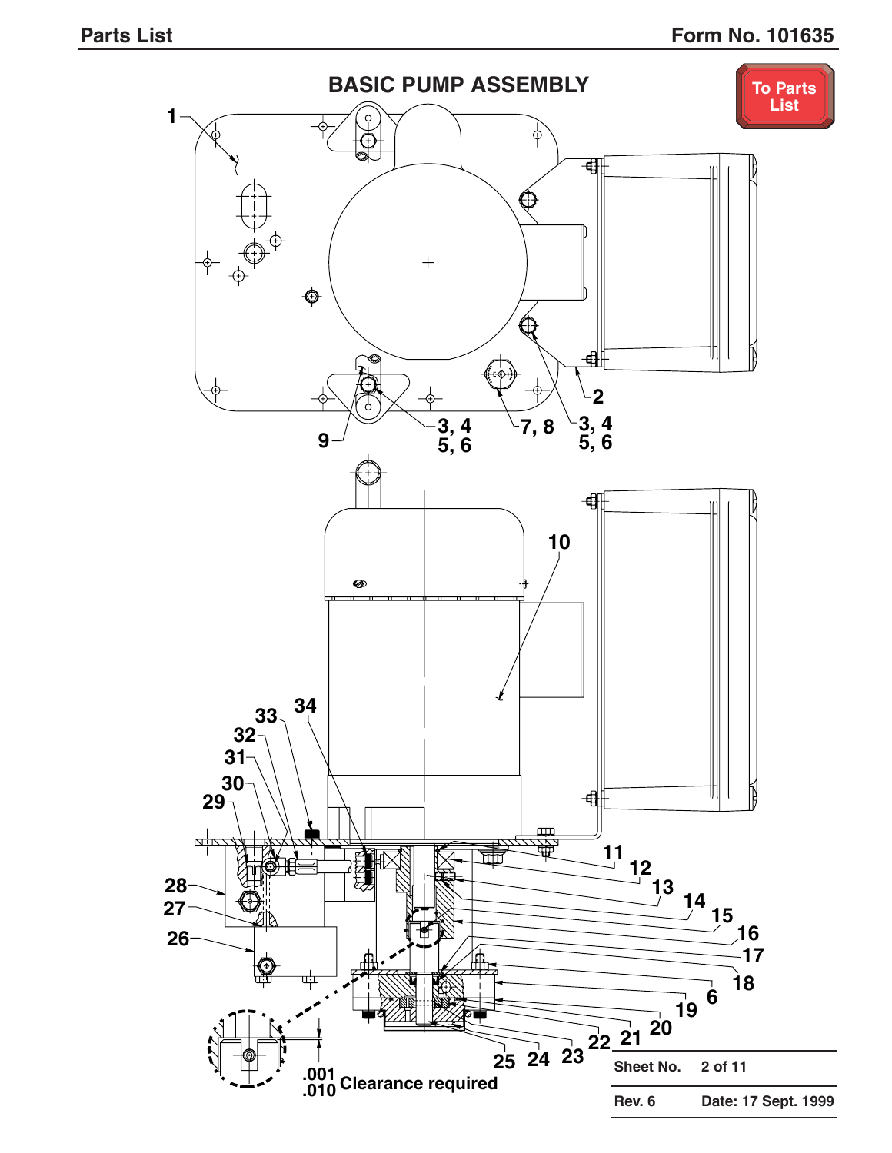<span id="page-2-0"></span>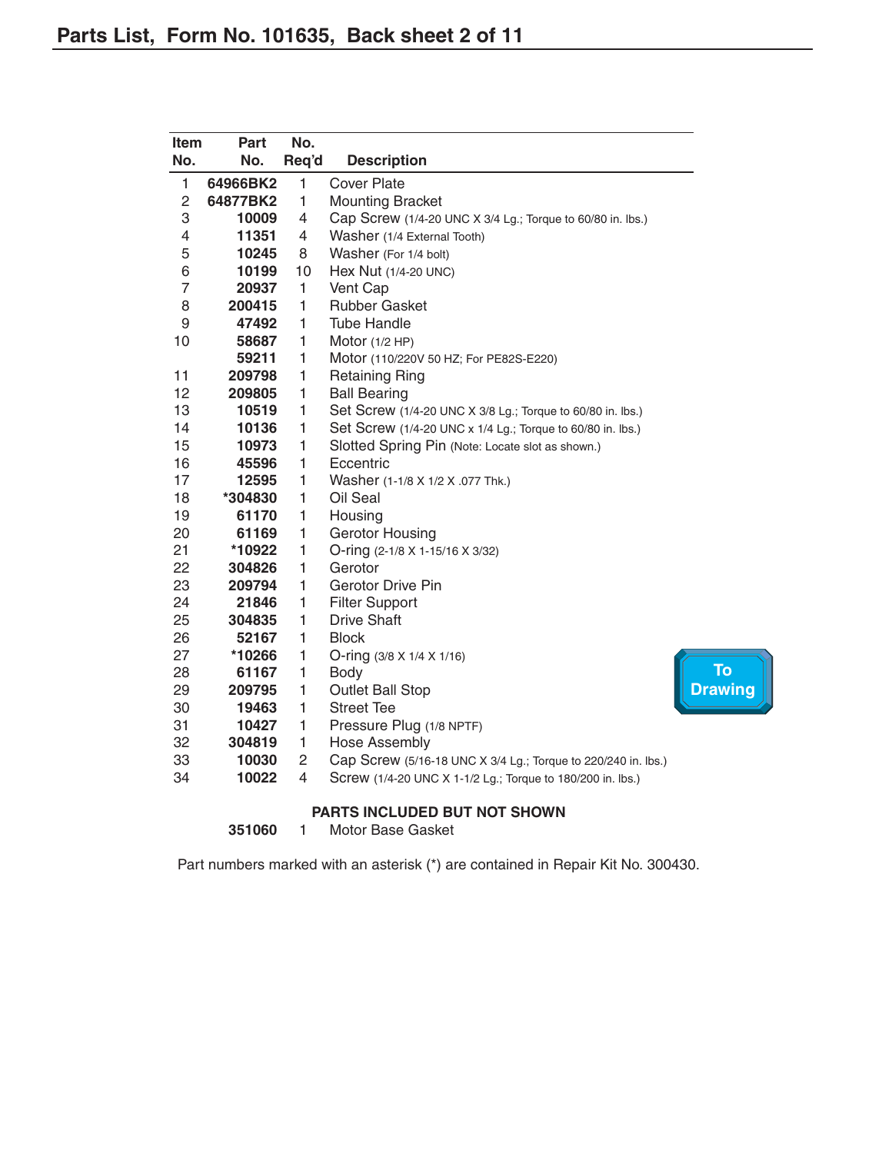<span id="page-3-0"></span>

| <b>Item</b>    | <b>Part</b> | No.          |                                                               |                |
|----------------|-------------|--------------|---------------------------------------------------------------|----------------|
| No.            | No.         | Req'd        | <b>Description</b>                                            |                |
| 1              | 64966BK2    | 1            | <b>Cover Plate</b>                                            |                |
| $\overline{c}$ | 64877BK2    | 1            | <b>Mounting Bracket</b>                                       |                |
| 3              | 10009       | 4            | Cap Screw (1/4-20 UNC X 3/4 Lg.; Torque to 60/80 in. lbs.)    |                |
| 4              | 11351       | 4            | Washer (1/4 External Tooth)                                   |                |
| 5              | 10245       | 8            | Washer (For 1/4 bolt)                                         |                |
| 6              | 10199       | 10           | Hex Nut (1/4-20 UNC)                                          |                |
| $\overline{7}$ | 20937       | 1            | Vent Cap                                                      |                |
| 8              | 200415      | 1            | <b>Rubber Gasket</b>                                          |                |
| 9              | 47492       | 1            | <b>Tube Handle</b>                                            |                |
| 10             | 58687       | 1            | Motor $(1/2$ HP)                                              |                |
|                | 59211       | 1            | Motor (110/220V 50 HZ; For PE82S-E220)                        |                |
| 11             | 209798      | 1            | <b>Retaining Ring</b>                                         |                |
| 12             | 209805      | 1            | <b>Ball Bearing</b>                                           |                |
| 13             | 10519       | 1            | Set Screw (1/4-20 UNC X 3/8 Lg.; Torque to 60/80 in. lbs.)    |                |
| 14             | 10136       | 1            | Set Screw (1/4-20 UNC x 1/4 Lg.; Torque to 60/80 in. lbs.)    |                |
| 15             | 10973       | 1            | Slotted Spring Pin (Note: Locate slot as shown.)              |                |
| 16             | 45596       | 1            | Eccentric                                                     |                |
| 17             | 12595       | $\mathbf{1}$ | Washer (1-1/8 X 1/2 X .077 Thk.)                              |                |
| 18             | *304830     | 1            | Oil Seal                                                      |                |
| 19             | 61170       | $\mathbf{1}$ | Housing                                                       |                |
| 20             | 61169       | 1            | <b>Gerotor Housing</b>                                        |                |
| 21             | *10922      | 1            | O-ring (2-1/8 X 1-15/16 X 3/32)                               |                |
| 22             | 304826      | $\mathbf{1}$ | Gerotor                                                       |                |
| 23             | 209794      | 1            | <b>Gerotor Drive Pin</b>                                      |                |
| 24             | 21846       | 1            | <b>Filter Support</b>                                         |                |
| 25             | 304835      | 1            | <b>Drive Shaft</b>                                            |                |
| 26             | 52167       | $\mathbf{1}$ | <b>Block</b>                                                  |                |
| 27             | *10266      | 1            | O-ring $(3/8 \times 1/4 \times 1/16)$                         | <b>To</b>      |
| 28             | 61167       | 1            | Body                                                          |                |
| 29             | 209795      | 1            | <b>Outlet Ball Stop</b>                                       | <b>Drawing</b> |
| 30             | 19463       | 1            | <b>Street Tee</b>                                             |                |
| 31             | 10427       | 1            | Pressure Plug (1/8 NPTF)                                      |                |
| 32             | 304819      | 1            | Hose Assembly                                                 |                |
| 33             | 10030       | $\mathbf{2}$ | Cap Screw (5/16-18 UNC X 3/4 Lg.; Torque to 220/240 in. lbs.) |                |
| 34             | 10022       | 4            | Screw (1/4-20 UNC X 1-1/2 Lg.; Torque to 180/200 in. lbs.)    |                |
|                |             |              |                                                               |                |

#### **PARTS INCLUDED BUT NOT SHOWN**

1 Motor Base Gasket

Part numbers marked with an asterisk (\*) are contained in Repair Kit No. 300430.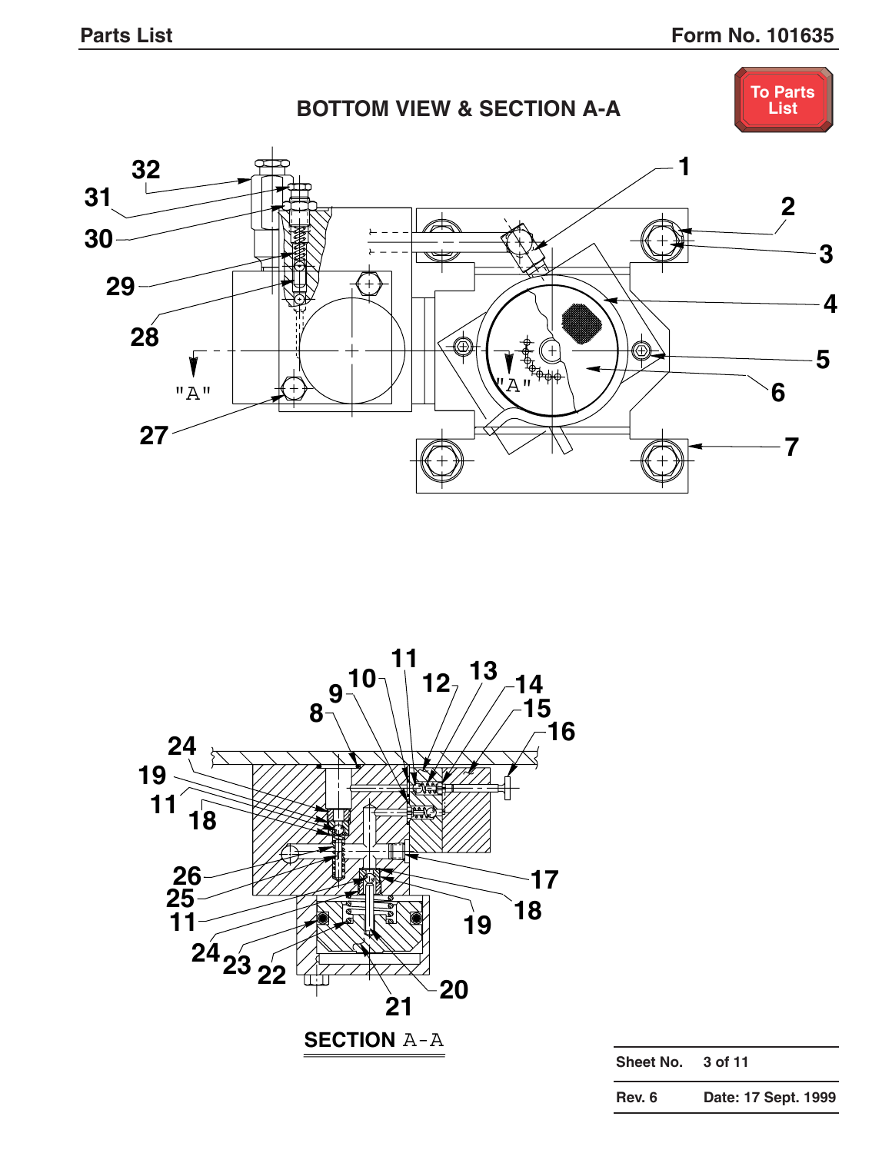<span id="page-4-0"></span>



| Sheet No. | 3 of 11             |
|-----------|---------------------|
| Rev. 6    | Date: 17 Sept. 1999 |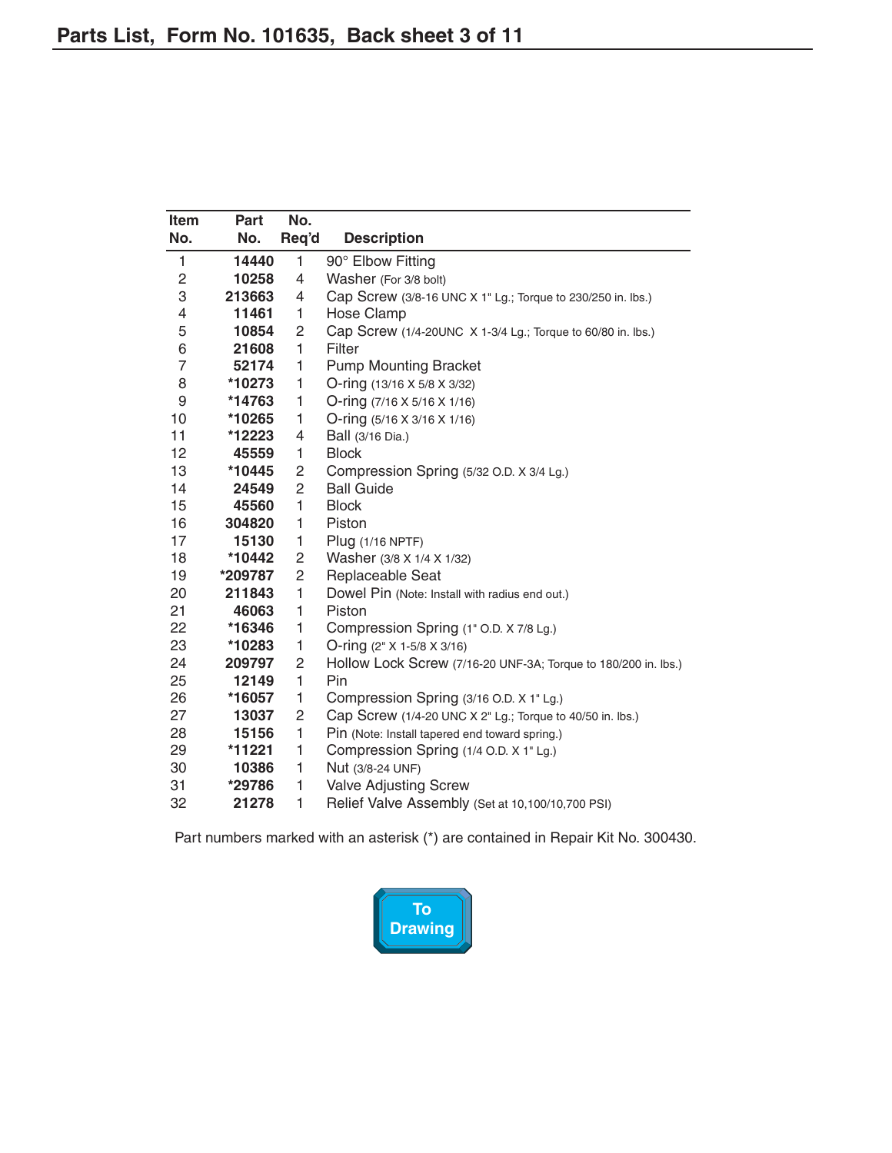<span id="page-5-0"></span>

| <b>Item</b>  | Part    | No.            |                                                                |
|--------------|---------|----------------|----------------------------------------------------------------|
| No.          | No.     | Req'd          | <b>Description</b>                                             |
| $\mathbf{1}$ | 14440   | $\mathbf{1}$   | 90° Elbow Fitting                                              |
| 2            | 10258   | $\overline{4}$ | Washer (For 3/8 bolt)                                          |
| 3            | 213663  | 4              | Cap Screw (3/8-16 UNC X 1" Lg.; Torque to 230/250 in. lbs.)    |
| 4            | 11461   | 1              | <b>Hose Clamp</b>                                              |
| 5            | 10854   | $\overline{c}$ | Cap Screw (1/4-20UNC X 1-3/4 Lg.; Torque to 60/80 in. lbs.)    |
| 6            | 21608   | 1              | Filter                                                         |
| 7            | 52174   | 1              | <b>Pump Mounting Bracket</b>                                   |
| 8            | *10273  | 1              | O-ring (13/16 X 5/8 X 3/32)                                    |
| 9            | *14763  | 1              | O-ring $(7/16 \times 5/16 \times 1/16)$                        |
| 10           | *10265  | 1              | O-ring $(5/16 \times 3/16 \times 1/16)$                        |
| 11           | *12223  | $\overline{4}$ | Ball (3/16 Dia.)                                               |
| 12           | 45559   | $\mathbf{1}$   | <b>Block</b>                                                   |
| 13           | *10445  | 2              | Compression Spring (5/32 O.D. X 3/4 Lg.)                       |
| 14           | 24549   | $\overline{c}$ | <b>Ball Guide</b>                                              |
| 15           | 45560   | 1              | <b>Block</b>                                                   |
| 16           | 304820  | 1              | Piston                                                         |
| 17           | 15130   | 1              | Plug (1/16 NPTF)                                               |
| 18           | *10442  | $\overline{c}$ | Washer (3/8 X 1/4 X 1/32)                                      |
| 19           | *209787 | $\overline{c}$ | Replaceable Seat                                               |
| 20           | 211843  | $\mathbf{1}$   | Dowel Pin (Note: Install with radius end out.)                 |
| 21           | 46063   | $\mathbf{1}$   | Piston                                                         |
| 22           | *16346  | 1              | Compression Spring (1" O.D. X 7/8 Lg.)                         |
| 23           | *10283  | 1              | O-ring (2" X 1-5/8 X 3/16)                                     |
| 24           | 209797  | 2              | Hollow Lock Screw (7/16-20 UNF-3A; Torque to 180/200 in. lbs.) |
| 25           | 12149   | 1              | Pin                                                            |
| 26           | *16057  | 1              | Compression Spring (3/16 O.D. X 1" Lg.)                        |
| 27           | 13037   | $\overline{c}$ | Cap Screw (1/4-20 UNC X 2" Lg.; Torque to 40/50 in. lbs.)      |
| 28           | 15156   | 1              | Pin (Note: Install tapered end toward spring.)                 |
| 29           | *11221  | 1              | Compression Spring (1/4 O.D. X 1" Lg.)                         |
| 30           | 10386   | 1              | Nut (3/8-24 UNF)                                               |
| 31           | *29786  | 1              | Valve Adjusting Screw                                          |
| 32           | 21278   | 1              | Relief Valve Assembly (Set at 10,100/10,700 PSI)               |

Part numbers marked with an asterisk (\*) are contained in Repair Kit No. 300430.

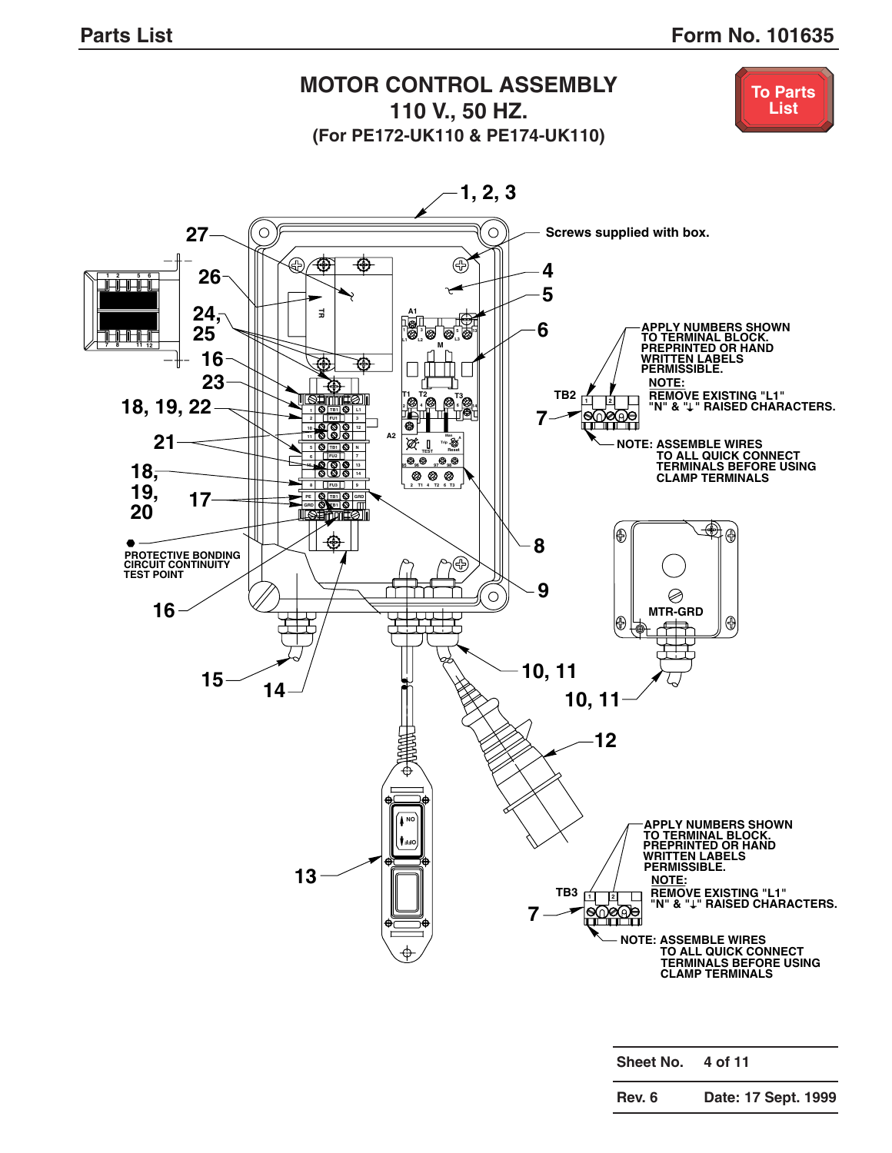<span id="page-6-0"></span>

| Sheet No. | 4 of 11             |
|-----------|---------------------|
| Rev. 6    | Date: 17 Sept. 1999 |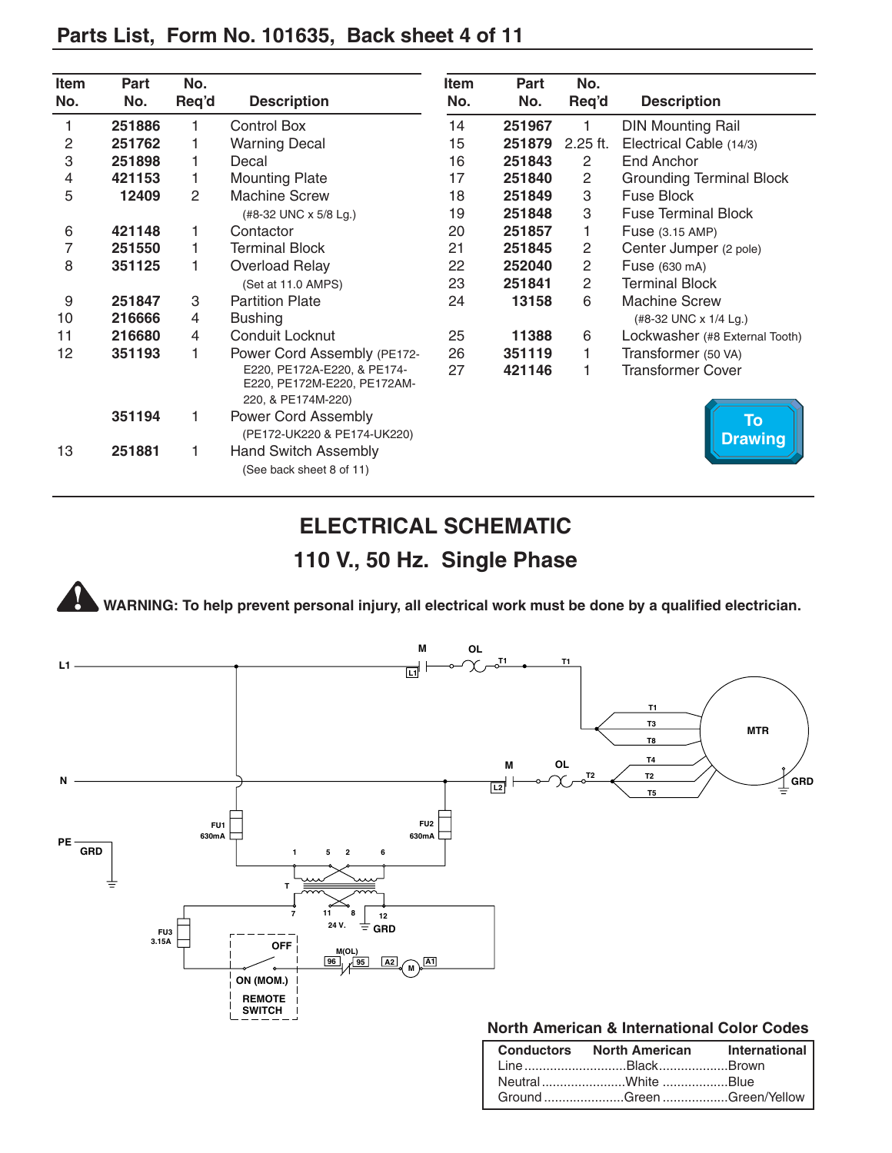<span id="page-7-0"></span>

|  |  |  | Parts List, Form No. 101635, Back sheet 4 of 11 |  |
|--|--|--|-------------------------------------------------|--|
|--|--|--|-------------------------------------------------|--|

| Item | Part   | No.   |                                                                                  | <b>Item</b>                  | Part   | No.                    |                                 |
|------|--------|-------|----------------------------------------------------------------------------------|------------------------------|--------|------------------------|---------------------------------|
| No.  | No.    | Req'd | <b>Description</b>                                                               | No.                          | No.    | Req'd                  | <b>Description</b>              |
| 1    | 251886 | 1     | Control Box                                                                      | 14                           | 251967 | 1                      | <b>DIN Mounting Rail</b>        |
| 2    | 251762 | 1     | <b>Warning Decal</b>                                                             | 15                           | 251879 | $2.25$ ft.             | Electrical Cable (14/3)         |
| 3    | 251898 | 1     | Decal                                                                            | 16                           | 251843 | 2                      | End Anchor                      |
| 4    | 421153 | 1     | <b>Mounting Plate</b>                                                            | 17                           | 251840 | $\mathbf{2}$           | <b>Grounding Terminal Block</b> |
| 5    | 12409  | 2     | <b>Machine Screw</b>                                                             | 18                           | 251849 | 3                      | Fuse Block                      |
|      |        |       | (#8-32 UNC x 5/8 Lg.)                                                            | 19                           | 251848 | 3                      | <b>Fuse Terminal Block</b>      |
| 6    | 421148 | 1     | Contactor                                                                        | 20                           | 251857 | 1                      | Fuse (3.15 AMP)                 |
| 7    | 251550 | 1     | <b>Terminal Block</b>                                                            | $\mathbf{2}$<br>21<br>251845 |        | Center Jumper (2 pole) |                                 |
| 8    | 351125 | 1     | Overload Relay                                                                   | 22                           | 252040 | $\overline{2}$         | Fuse (630 mA)                   |
|      |        |       | (Set at 11.0 AMPS)                                                               | 23                           | 251841 | $\overline{2}$         | <b>Terminal Block</b>           |
| 9    | 251847 | 3     | 6<br><b>Partition Plate</b><br>24<br>13158                                       |                              |        | <b>Machine Screw</b>   |                                 |
| 10   | 216666 | 4     | <b>Bushing</b>                                                                   |                              |        |                        | (#8-32 UNC x 1/4 Lg.)           |
| 11   | 216680 | 4     | Conduit Locknut                                                                  | 25                           | 11388  | 6                      | Lockwasher (#8 External Tooth)  |
| 12   | 351193 | 1     | Power Cord Assembly (PE172-                                                      | 26                           | 351119 | 1                      | Transformer (50 VA)             |
|      |        |       | E220, PE172A-E220, & PE174-<br>E220, PE172M-E220, PE172AM-<br>220, & PE174M-220) | 27                           | 421146 | 1                      | Transformer Cover               |
|      | 351194 | 1     | <b>Power Cord Assembly</b><br>(PE172-UK220 & PE174-UK220)                        |                              |        |                        | <b>To</b><br><b>Drawing</b>     |
| 13   | 251881 | 1     | <b>Hand Switch Assembly</b><br>(See back sheet 8 of 11)                          |                              |        |                        |                                 |

# **ELECTRICAL SCHEMATIC 110 V., 50 Hz. Single Phase**

**WARNING: To help prevent personal injury, all electrical work must be done by a qualified electrician.**



| Conductors North American International |  |
|-----------------------------------------|--|
| LineBlackBrown                          |  |
|                                         |  |
| Ground Green Green/Yellow               |  |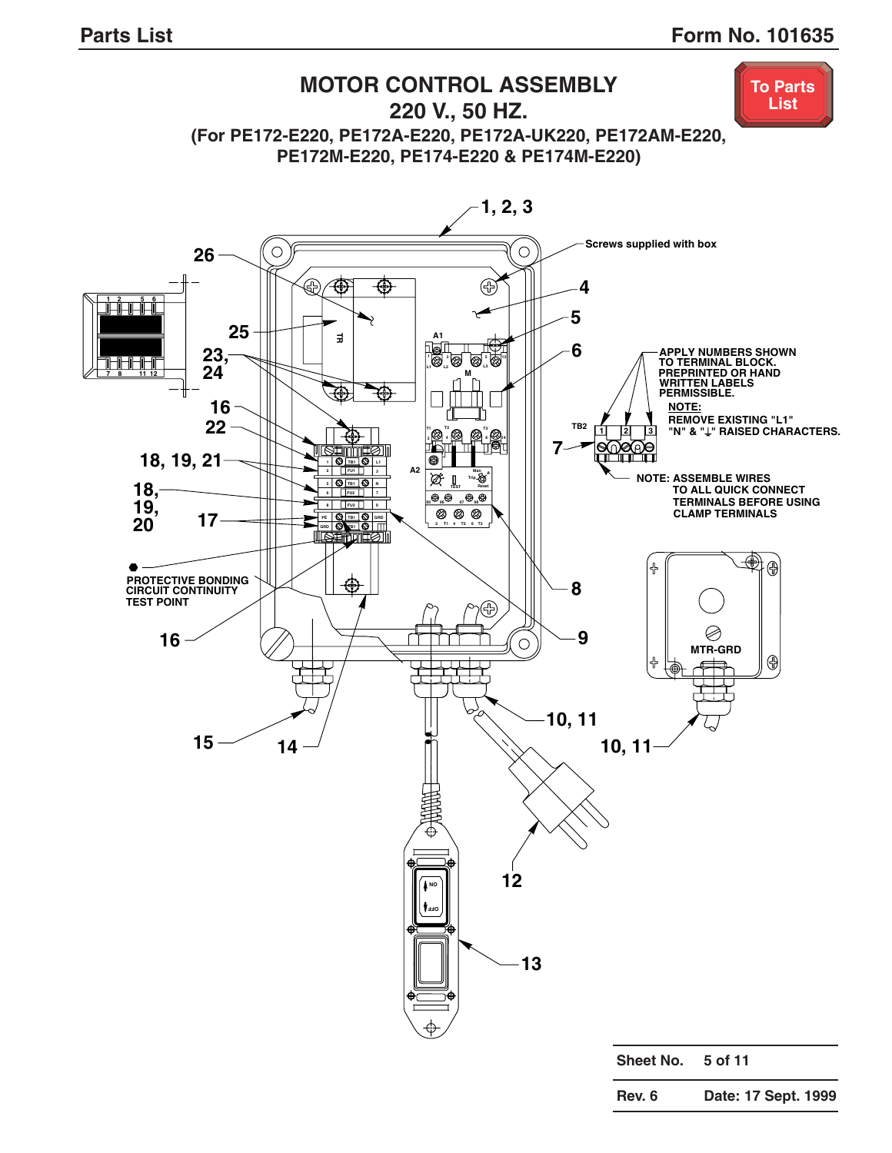<span id="page-8-0"></span>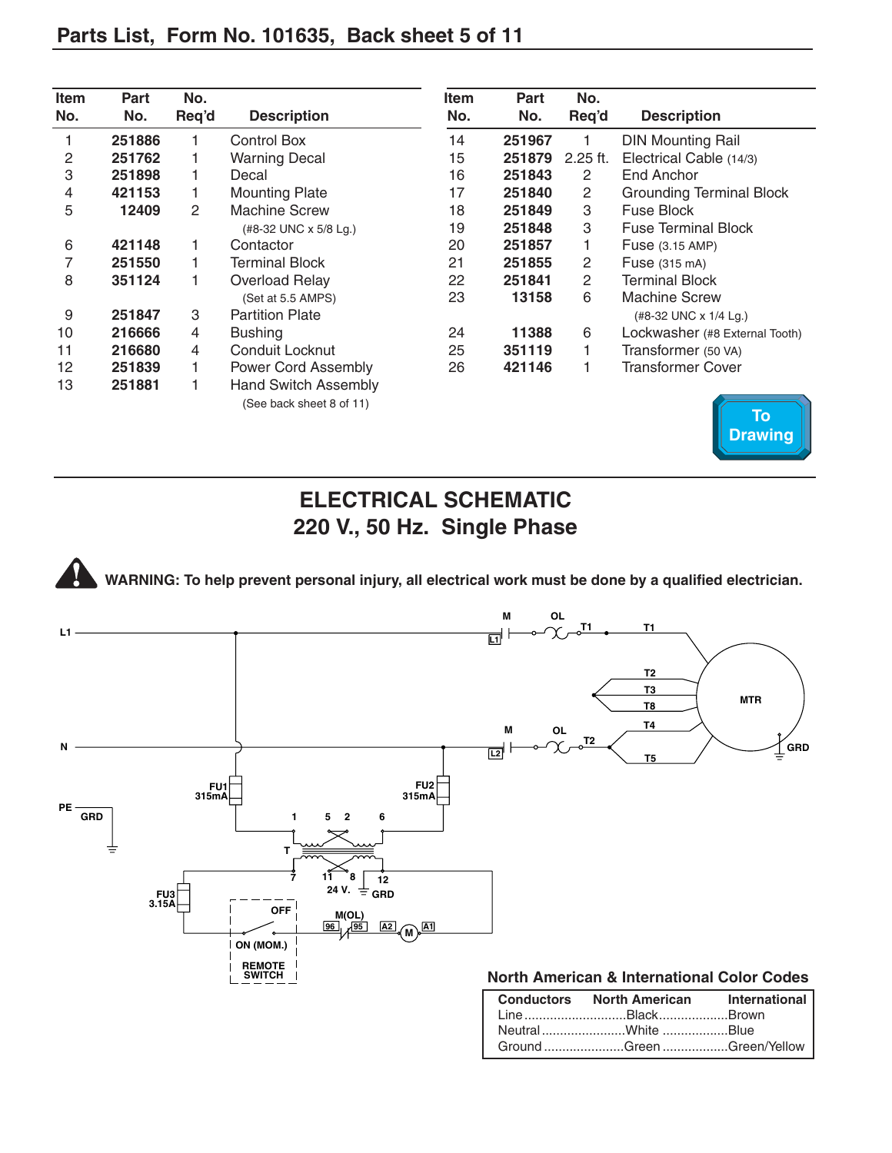<span id="page-9-0"></span>

| <b>Item</b><br>No. | Part<br>No. | No.<br>Req'd | <b>Description</b>                                      | <b>Item</b><br>No. | <b>Part</b><br>No. | No.<br>Req'd  | <b>Description</b>              |
|--------------------|-------------|--------------|---------------------------------------------------------|--------------------|--------------------|---------------|---------------------------------|
|                    | 251886      |              | Control Box                                             | 14                 | 251967             |               | <b>DIN Mounting Rail</b>        |
| 2                  | 251762      |              | <b>Warning Decal</b>                                    | 15                 | 251879             | $2.25$ ft.    | Electrical Cable (14/3)         |
| 3                  | 251898      |              | Decal                                                   | 16                 | 251843             | 2             | End Anchor                      |
| $\overline{4}$     | 421153      | 1            | <b>Mounting Plate</b>                                   | 17                 | 251840             | 2             | <b>Grounding Terminal Block</b> |
| 5                  | 12409       | 2            | <b>Machine Screw</b>                                    | 18                 | 251849             | 3             | Fuse Block                      |
|                    |             |              | (#8-32 UNC x 5/8 Lg.)                                   | 19                 | 251848             | 3             | <b>Fuse Terminal Block</b>      |
| 6                  | 421148      | 1            | Contactor                                               | 20                 | 251857             |               | <b>Fuse</b> (3.15 AMP)          |
| 7                  | 251550      |              | Terminal Block<br>21<br>251855                          |                    | 2                  | Fuse (315 mA) |                                 |
| 8                  | 351124      |              | Overload Relay                                          | 22                 | 251841             | 2             | Terminal Block                  |
|                    |             |              | (Set at 5.5 AMPS)                                       | 23                 | 13158              | 6             | <b>Machine Screw</b>            |
| 9                  | 251847      | 3            | <b>Partition Plate</b>                                  |                    |                    |               | (#8-32 UNC x 1/4 Lg.)           |
| 10                 | 216666      | 4            | <b>Bushing</b>                                          | 24                 | 11388              | 6             | Lockwasher (#8 External Tooth)  |
| 11                 | 216680      | 4            | Conduit Locknut                                         | 25                 | 351119             |               | Transformer (50 VA)             |
| 12                 | 251839      | 1.           | <b>Power Cord Assembly</b>                              | 26                 | 421146             |               | <b>Transformer Cover</b>        |
| 13                 | 251881      |              | <b>Hand Switch Assembly</b><br>(See back sheet 8 of 11) |                    |                    |               |                                 |



Ground ......................Green ..................Green/Yellow

# **ELECTRICAL SCHEMATIC 220 V., 50 Hz. Single Phase**

**WARNING: To help prevent personal injury, all electrical work must be done by a qualified electrician.**

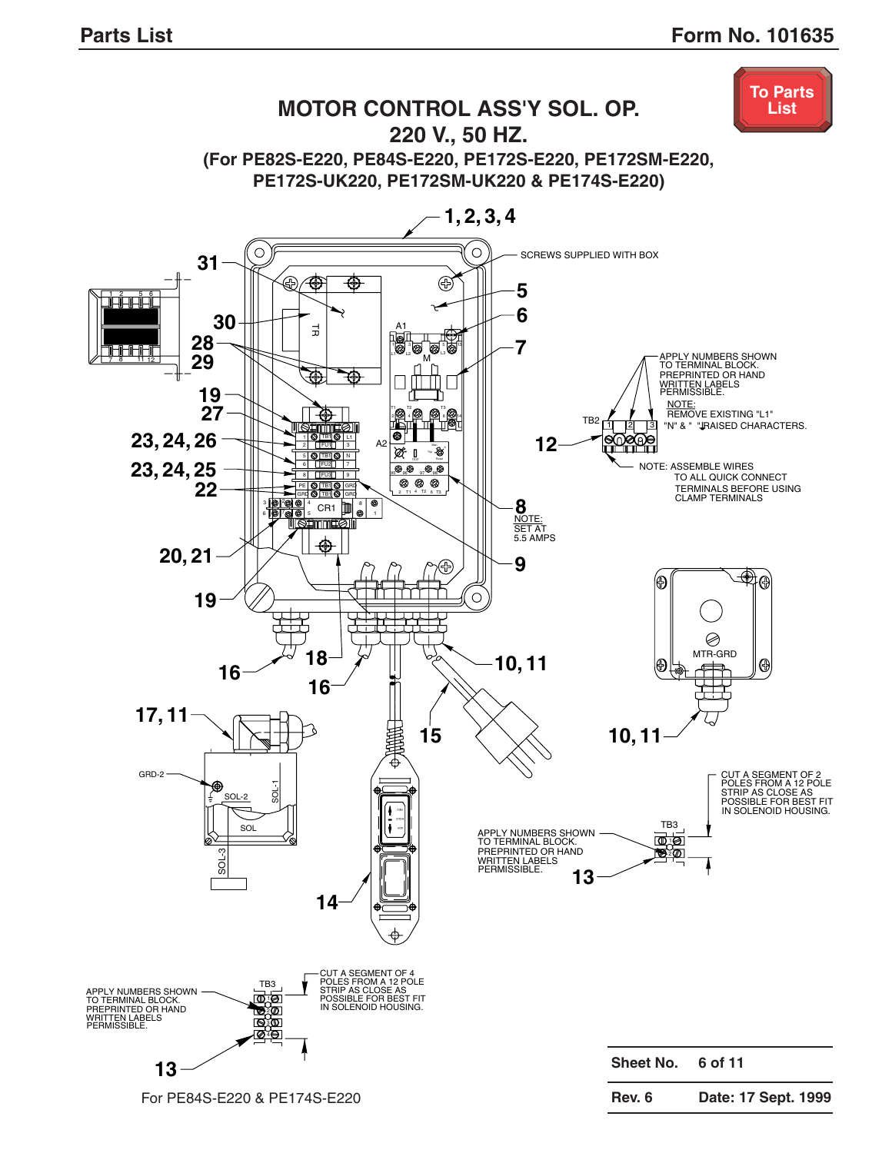<span id="page-10-0"></span>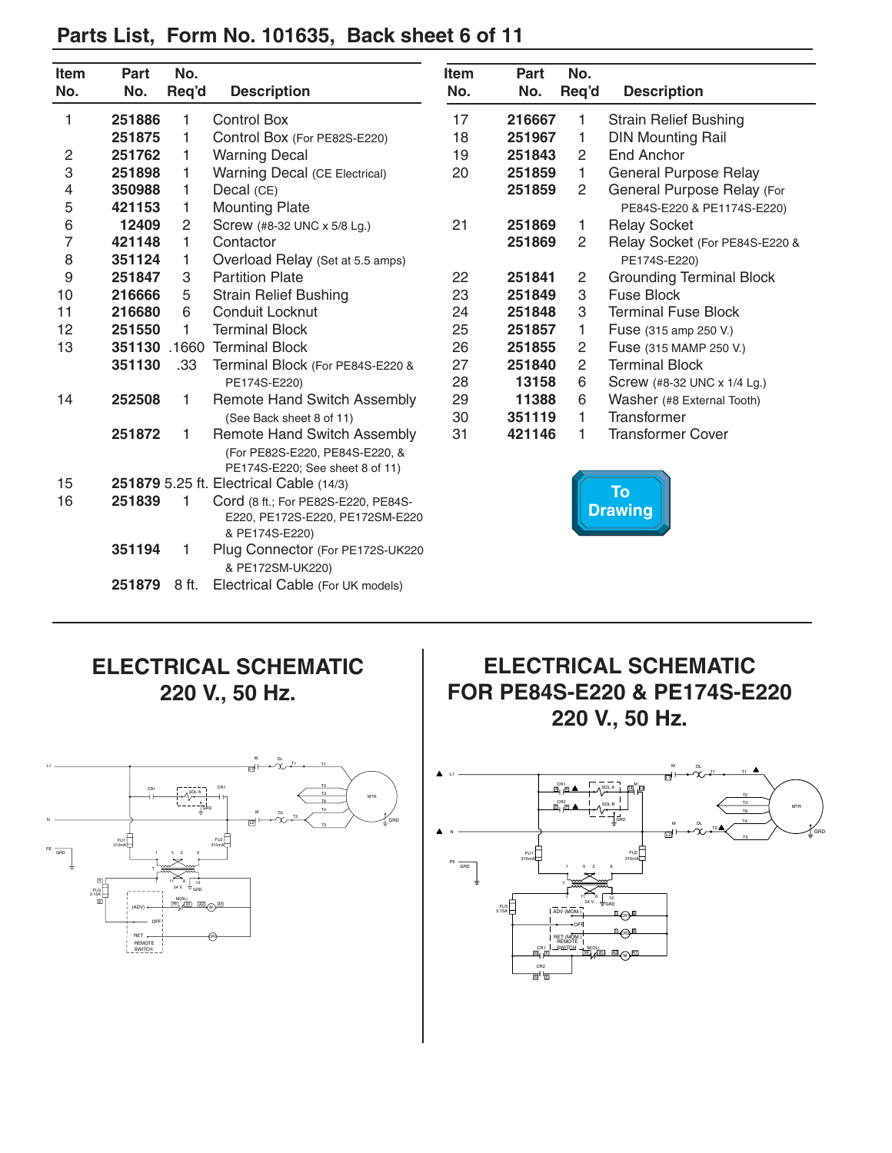## <span id="page-11-0"></span>**Parts List, Form No. 101635, Back sheet 6 of 11**

| Item | Part                                                                                                                                                                                                                                                                                                                                                                                                 | No.            |                                                                                                                                                  |
|------|------------------------------------------------------------------------------------------------------------------------------------------------------------------------------------------------------------------------------------------------------------------------------------------------------------------------------------------------------------------------------------------------------|----------------|--------------------------------------------------------------------------------------------------------------------------------------------------|
| No.  | No.                                                                                                                                                                                                                                                                                                                                                                                                  | Req'd          | <b>Description</b>                                                                                                                               |
| 17   |                                                                                                                                                                                                                                                                                                                                                                                                      | 1              | <b>Strain Relief Bushing</b>                                                                                                                     |
| 18   |                                                                                                                                                                                                                                                                                                                                                                                                      | 1              | <b>DIN Mounting Rail</b>                                                                                                                         |
| 19   |                                                                                                                                                                                                                                                                                                                                                                                                      | 2              | End Anchor                                                                                                                                       |
| 20   |                                                                                                                                                                                                                                                                                                                                                                                                      | 1              | <b>General Purpose Relay</b>                                                                                                                     |
|      |                                                                                                                                                                                                                                                                                                                                                                                                      | $\overline{c}$ | General Purpose Relay (For                                                                                                                       |
|      |                                                                                                                                                                                                                                                                                                                                                                                                      |                | PE84S-E220 & PE1174S-E220)                                                                                                                       |
| 21   |                                                                                                                                                                                                                                                                                                                                                                                                      | 1              | <b>Relay Socket</b>                                                                                                                              |
|      |                                                                                                                                                                                                                                                                                                                                                                                                      | $\overline{c}$ | Relay Socket (For PE84S-E220 &                                                                                                                   |
|      |                                                                                                                                                                                                                                                                                                                                                                                                      |                | PE174S-E220)                                                                                                                                     |
| 22   | 251841                                                                                                                                                                                                                                                                                                                                                                                               | $\overline{c}$ | <b>Grounding Terminal Block</b>                                                                                                                  |
| 23   |                                                                                                                                                                                                                                                                                                                                                                                                      | 3              | <b>Fuse Block</b>                                                                                                                                |
| 24   |                                                                                                                                                                                                                                                                                                                                                                                                      | 3              | <b>Terminal Fuse Block</b>                                                                                                                       |
| 25   |                                                                                                                                                                                                                                                                                                                                                                                                      | 1              | Fuse (315 amp 250 V.)                                                                                                                            |
| 26   |                                                                                                                                                                                                                                                                                                                                                                                                      | $\overline{c}$ | Fuse (315 MAMP 250 V.)                                                                                                                           |
| 27   |                                                                                                                                                                                                                                                                                                                                                                                                      | $\overline{c}$ | <b>Terminal Block</b>                                                                                                                            |
| 28   |                                                                                                                                                                                                                                                                                                                                                                                                      | 6              | Screw (#8-32 UNC x 1/4 Lg.)                                                                                                                      |
| 29   |                                                                                                                                                                                                                                                                                                                                                                                                      | 6              | Washer (#8 External Tooth)                                                                                                                       |
| 30   |                                                                                                                                                                                                                                                                                                                                                                                                      | 1              | <b>Transformer</b>                                                                                                                               |
| 31   |                                                                                                                                                                                                                                                                                                                                                                                                      | 1              | <b>Transformer Cover</b>                                                                                                                         |
|      |                                                                                                                                                                                                                                                                                                                                                                                                      |                |                                                                                                                                                  |
|      |                                                                                                                                                                                                                                                                                                                                                                                                      |                |                                                                                                                                                  |
|      |                                                                                                                                                                                                                                                                                                                                                                                                      |                | <b>To</b>                                                                                                                                        |
|      |                                                                                                                                                                                                                                                                                                                                                                                                      |                | <b>Drawing</b>                                                                                                                                   |
|      |                                                                                                                                                                                                                                                                                                                                                                                                      |                |                                                                                                                                                  |
|      |                                                                                                                                                                                                                                                                                                                                                                                                      |                |                                                                                                                                                  |
|      |                                                                                                                                                                                                                                                                                                                                                                                                      |                |                                                                                                                                                  |
|      | Control Box (For PE82S-E220)<br><b>Warning Decal (CE Electrical)</b><br>Overload Relay (Set at 5.5 amps)<br>Terminal Block (For PE84S-E220 &<br><b>Remote Hand Switch Assembly</b><br>Remote Hand Switch Assembly<br>(For PE82S-E220, PE84S-E220, &<br>PE174S-E220; See sheet 8 of 11)<br>Cord (8 ft.; For PE82S-E220, PE84S-<br>E220, PE172S-E220, PE172SM-E220<br>Plug Connector (For PE172S-UK220 | 251869         | 216667<br>251967<br>251843<br>251859<br>251859<br>251869<br>251849<br>251848<br>251857<br>251855<br>251840<br>13158<br>11388<br>351119<br>421146 |

#### **ELECTRICAL SCHEMATIC 220 V., 50 Hz.**

**251879** 8 ft. Electrical Cable (For UK models)



## **ELECTRICAL SCHEMATIC FOR PE84S-E220 & PE174S-E220 220 V., 50 Hz.**

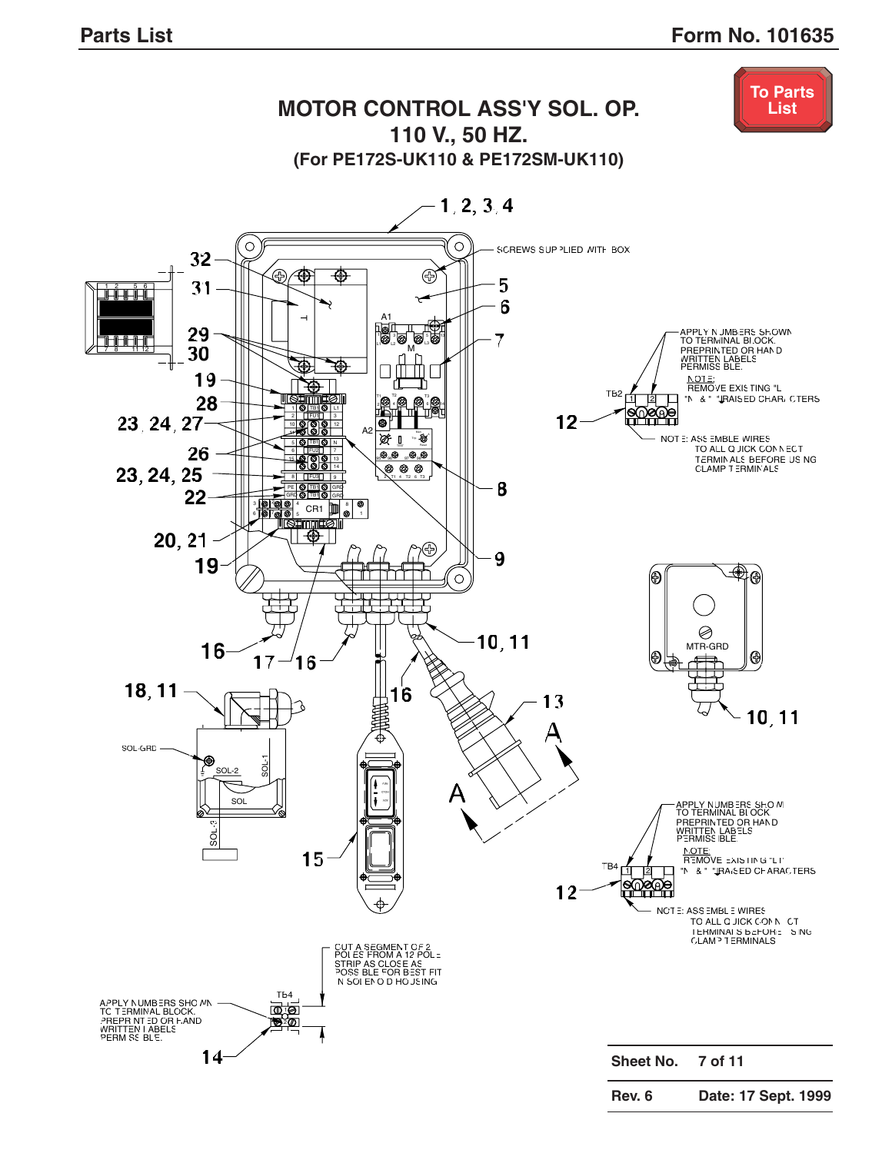<span id="page-12-0"></span>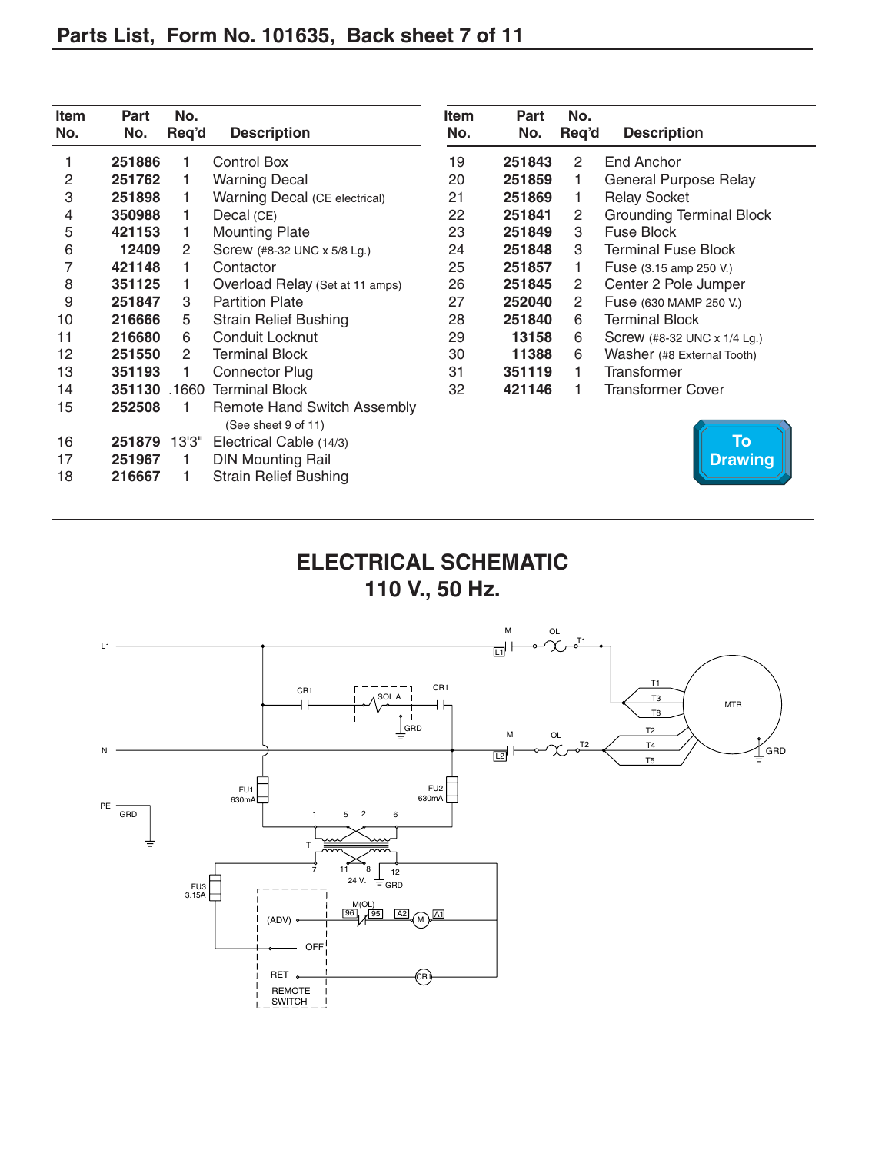<span id="page-13-0"></span>

| Item<br>No. | Part<br>No. | No.<br>Req'd | <b>Description</b>                                        | Item<br>No. | Part<br>No. | No.<br>Req'd | <b>Description</b>              |
|-------------|-------------|--------------|-----------------------------------------------------------|-------------|-------------|--------------|---------------------------------|
|             | 251886      |              | <b>Control Box</b>                                        | 19          | 251843      | 2            | End Anchor                      |
| 2           | 251762      |              | <b>Warning Decal</b>                                      | 20          | 251859      | 1.           | <b>General Purpose Relay</b>    |
| 3           | 251898      |              | Warning Decal (CE electrical)                             | 21          | 251869      | 1.           | <b>Relay Socket</b>             |
| 4           | 350988      |              | Decal (CE)                                                | 22          | 251841      | 2            | <b>Grounding Terminal Block</b> |
| 5           | 421153      |              | <b>Mounting Plate</b>                                     | 23          | 251849      | 3            | Fuse Block                      |
| 6           | 12409       | 2            | Screw (#8-32 UNC x 5/8 Lg.)                               | 24          | 251848      | 3            | <b>Terminal Fuse Block</b>      |
| 7           | 421148      |              | Contactor                                                 | 25          | 251857      |              | Fuse (3.15 amp 250 V.)          |
| 8           | 351125      |              | Overload Relay (Set at 11 amps)                           | 26          | 251845      | 2            | Center 2 Pole Jumper            |
| 9           | 251847      | 3            | <b>Partition Plate</b>                                    | 27          | 252040      | 2            | Fuse (630 MAMP 250 V.)          |
| 10          | 216666      | 5            | <b>Strain Relief Bushing</b>                              | 28          | 251840      | 6            | <b>Terminal Block</b>           |
| 11          | 216680      | 6            | Conduit Locknut                                           | 29          | 13158       | 6            | Screw (#8-32 UNC x 1/4 Lg.)     |
| 12          | 251550      | 2            | <b>Terminal Block</b>                                     | 30          | 11388       | 6            | Washer (#8 External Tooth)      |
| 13          | 351193      |              | <b>Connector Plug</b>                                     | 31          | 351119      |              | Transformer                     |
| 14          | 351130      | .1660        | <b>Terminal Block</b>                                     | 32          | 421146      |              | <b>Transformer Cover</b>        |
| 15          | 252508      |              | <b>Remote Hand Switch Assembly</b><br>(See sheet 9 of 11) |             |             |              |                                 |
| 16          | 251879      | 13'3"        | Electrical Cable (14/3)                                   |             |             |              | <b>To</b>                       |
| 17          | 251967      |              | <b>DIN Mounting Rail</b>                                  |             |             |              | <b>Drawing</b>                  |
| 18          | 216667      |              | <b>Strain Relief Bushing</b>                              |             |             |              |                                 |

## **ELECTRICAL SCHEMATIC 110 V., 50 Hz.**

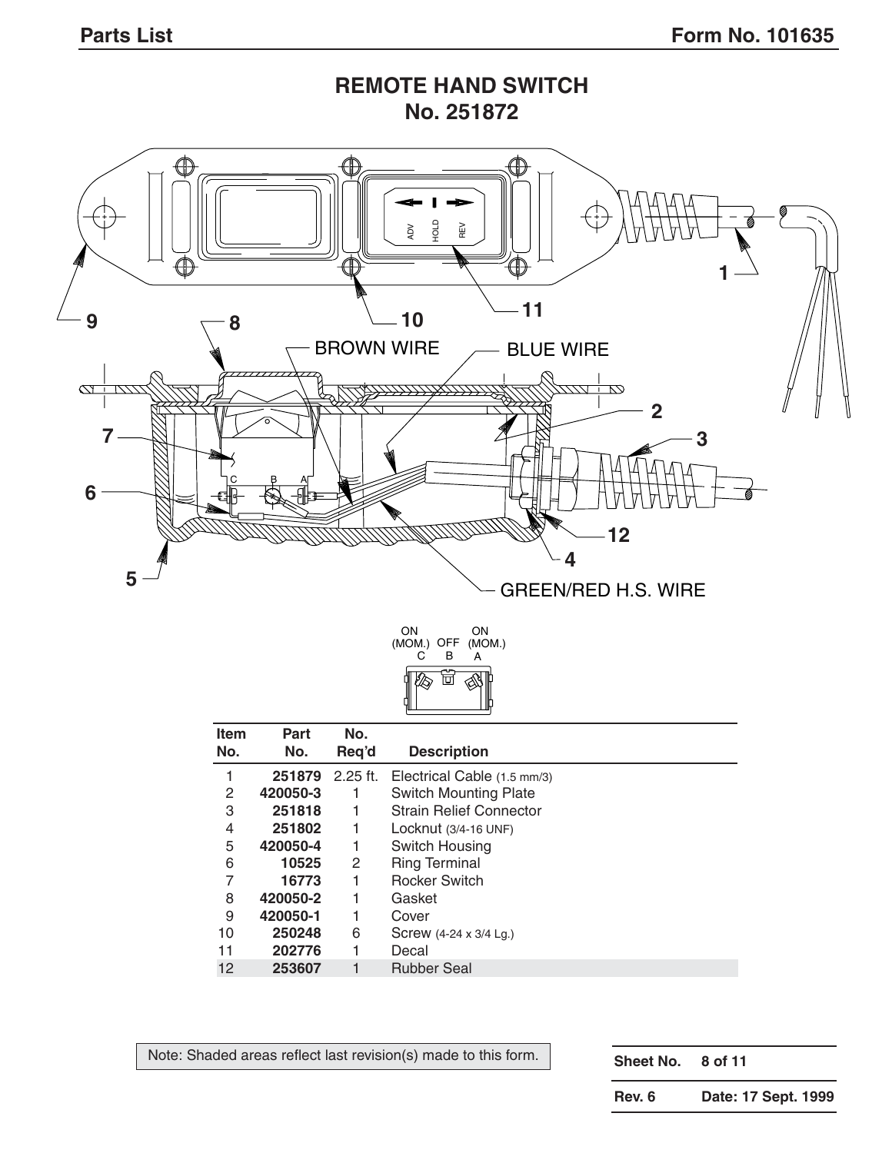



| <b>Item</b><br>No. | Part<br>No. | No.<br>Req'd | <b>Description</b>             |
|--------------------|-------------|--------------|--------------------------------|
| 1                  | 251879      | $2.25$ ft.   | Electrical Cable (1.5 mm/3)    |
| 2                  | 420050-3    | 1            | <b>Switch Mounting Plate</b>   |
| 3                  | 251818      | 1            | <b>Strain Relief Connector</b> |
| 4                  | 251802      | 1            | Locknut $(3/4-16$ UNF)         |
| 5                  | 420050-4    | 1            | Switch Housing                 |
| 6                  | 10525       | 2            | <b>Ring Terminal</b>           |
| 7                  | 16773       | 1            | <b>Rocker Switch</b>           |
| 8                  | 420050-2    | 1            | Gasket                         |
| 9                  | 420050-1    |              | Cover                          |
| 10                 | 250248      | 6            | Screw (4-24 x 3/4 Lg.)         |
| 11                 | 202776      |              | Decal                          |
| 12                 | 253607      | 1            | <b>Rubber Seal</b>             |

Note: Shaded areas reflect last revision(s) made to this form.

**Sheet No. 8 of 11**

**Rev. 6 Date: 17 Sept. 1999**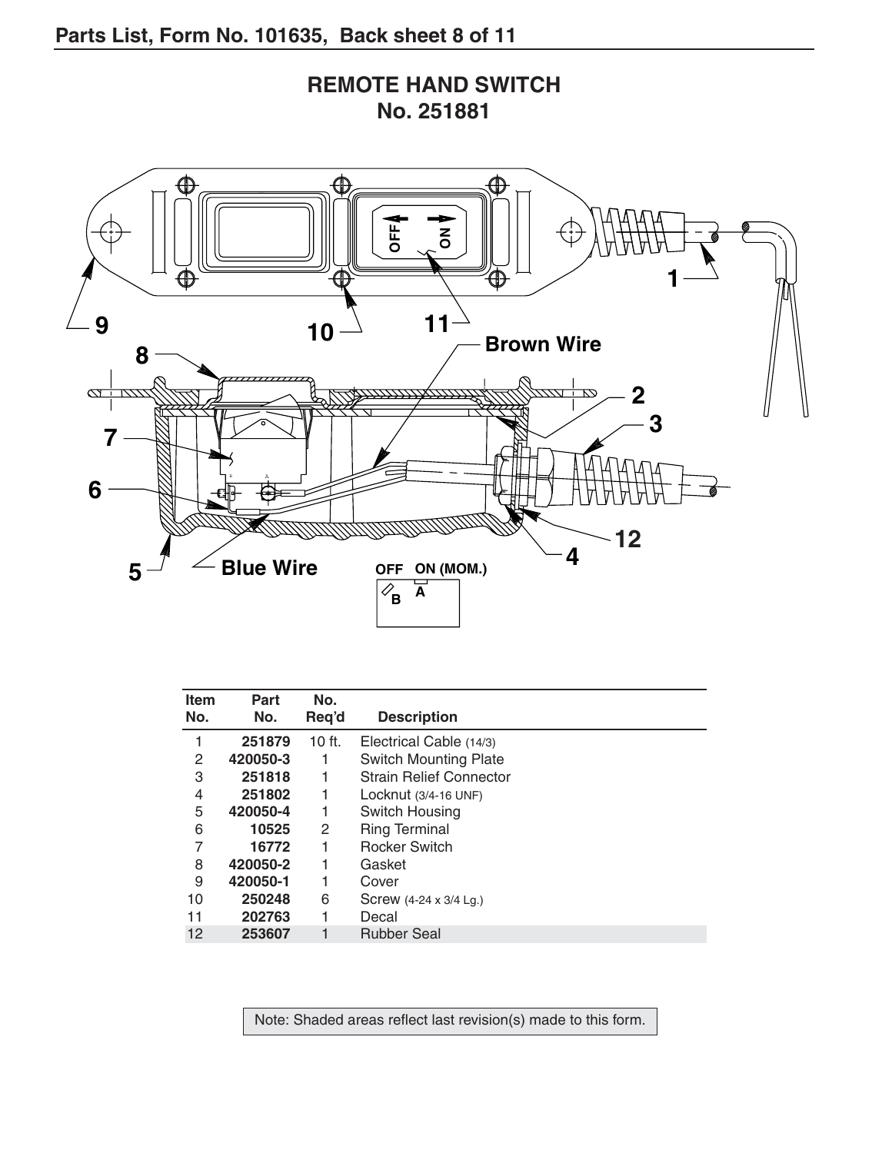

| <b>REMOTE HAND SWITCH</b> |            |  |
|---------------------------|------------|--|
|                           | No. 251881 |  |

| Item<br>No. | Part<br>No. | No.<br>Req'd | <b>Description</b>             |
|-------------|-------------|--------------|--------------------------------|
|             | 251879      | $10$ ft.     | Electrical Cable (14/3)        |
| 2           | 420050-3    |              | <b>Switch Mounting Plate</b>   |
| 3           | 251818      | 1            | <b>Strain Relief Connector</b> |
| 4           | 251802      |              | Locknut $(3/4-16$ UNF)         |
| 5           | 420050-4    |              | Switch Housing                 |
| 6           | 10525       | 2            | <b>Ring Terminal</b>           |
| 7           | 16772       |              | <b>Rocker Switch</b>           |
| 8           | 420050-2    |              | Gasket                         |
| 9           | 420050-1    |              | Cover                          |
| 10          | 250248      | 6            | Screw $(4-24 \times 3/4$ Lg.)  |
| 11          | 202763      |              | Decal                          |
| 12          | 253607      |              | <b>Rubber Seal</b>             |

Note: Shaded areas reflect last revision(s) made to this form.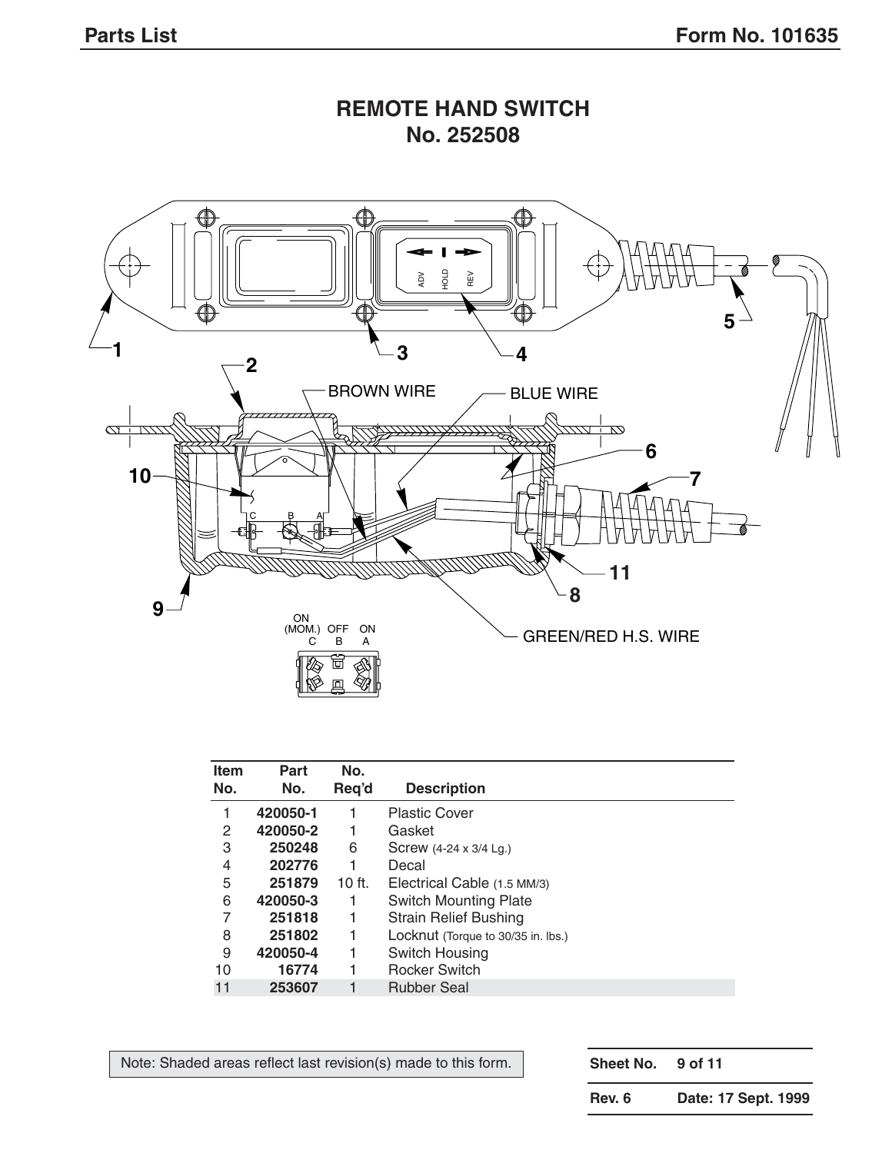

#### **REMOTE HAND SWITCH No. 252508**

| <b>Item</b><br>No. | Part<br>No. | No.<br>Req'd | <b>Description</b>                 |
|--------------------|-------------|--------------|------------------------------------|
|                    | 420050-1    |              | <b>Plastic Cover</b>               |
| 2                  | 420050-2    | 1            | Gasket                             |
| 3                  | 250248      | 6            | Screw (4-24 x 3/4 Lg.)             |
| 4                  | 202776      |              | Decal                              |
| 5                  | 251879      | $10$ ft.     | Electrical Cable (1.5 MM/3)        |
| 6                  | 420050-3    | 1            | <b>Switch Mounting Plate</b>       |
| 7                  | 251818      |              | <b>Strain Relief Bushing</b>       |
| 8                  | 251802      | 1            | Locknut (Torque to 30/35 in. lbs.) |
| 9                  | 420050-4    |              | Switch Housing                     |
| 10                 | 16774       |              | <b>Rocker Switch</b>               |
| 11                 | 253607      |              | <b>Rubber Seal</b>                 |

Note: Shaded areas reflect last revision(s) made to this form.

**Sheet No. 9 of 11**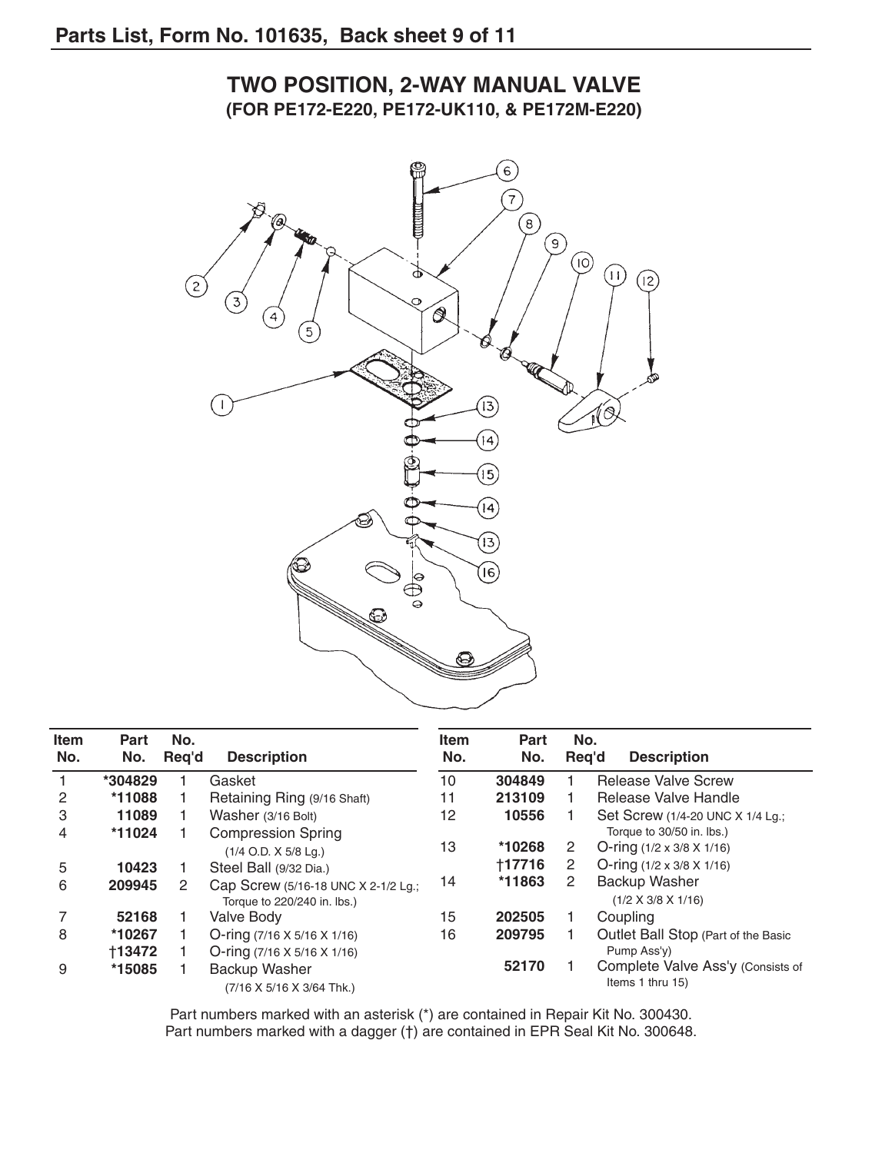

#### **TWO POSITION, 2-WAY MANUAL VALVE (FOR PE172-E220, PE172-UK110, & PE172M-E220)**

| <b>Item</b><br>No. | Part<br>No.   | No.<br>Req'd | <b>Description</b>                                                 | <b>Item</b><br>No. | <b>Part</b><br>No. | No. | <b>Description</b><br>Reg'd                           |
|--------------------|---------------|--------------|--------------------------------------------------------------------|--------------------|--------------------|-----|-------------------------------------------------------|
|                    | *304829       |              | Gasket                                                             | 10                 | 304849             |     | <b>Release Valve Screw</b>                            |
| 2                  | *11088        |              | Retaining Ring (9/16 Shaft)                                        | 11                 | 213109             |     | Release Valve Handle                                  |
| 3                  | 11089         |              | Washer (3/16 Bolt)                                                 | 12                 | 10556              |     | Set Screw (1/4-20 UNC X 1/4 Lg.;                      |
| 4                  | *11024        |              | <b>Compression Spring</b>                                          |                    |                    |     | Torque to 30/50 in. lbs.)                             |
|                    |               |              | $(1/4$ O.D. X $5/8$ Lg.)                                           | 13                 | *10268             | 2   | O-ring $(1/2 \times 3/8 \times 1/16)$                 |
| 5                  | 10423         |              | Steel Ball (9/32 Dia.)                                             |                    | +17716             | 2   | O-ring $(1/2 \times 3/8 \times 1/16)$                 |
| 6                  | 209945        | 2            | Cap Screw (5/16-18 UNC X 2-1/2 Lg.;<br>Torque to 220/240 in. lbs.) | 14                 | *11863             | 2   | Backup Washer<br>$(1/2 \times 3/8 \times 1/16)$       |
|                    | 52168         |              | Valve Body                                                         | 15                 | 202505             |     | Coupling                                              |
| 8                  | *10267        |              | O-ring $(7/16 \times 5/16 \times 1/16)$                            | 16                 | 209795             |     | Outlet Ball Stop (Part of the Basic                   |
|                    | <b>†13472</b> |              | O-ring $(7/16 \times 5/16 \times 1/16)$                            |                    |                    |     | Pump Ass'y)                                           |
| 9                  | *15085        |              | Backup Washer<br>(7/16 X 5/16 X 3/64 Thk.)                         |                    | 52170              |     | Complete Valve Ass'y (Consists of<br>Items 1 thru 15) |

Part numbers marked with an asterisk (\*) are contained in Repair Kit No. 300430. Part numbers marked with a dagger (†) are contained in EPR Seal Kit No. 300648.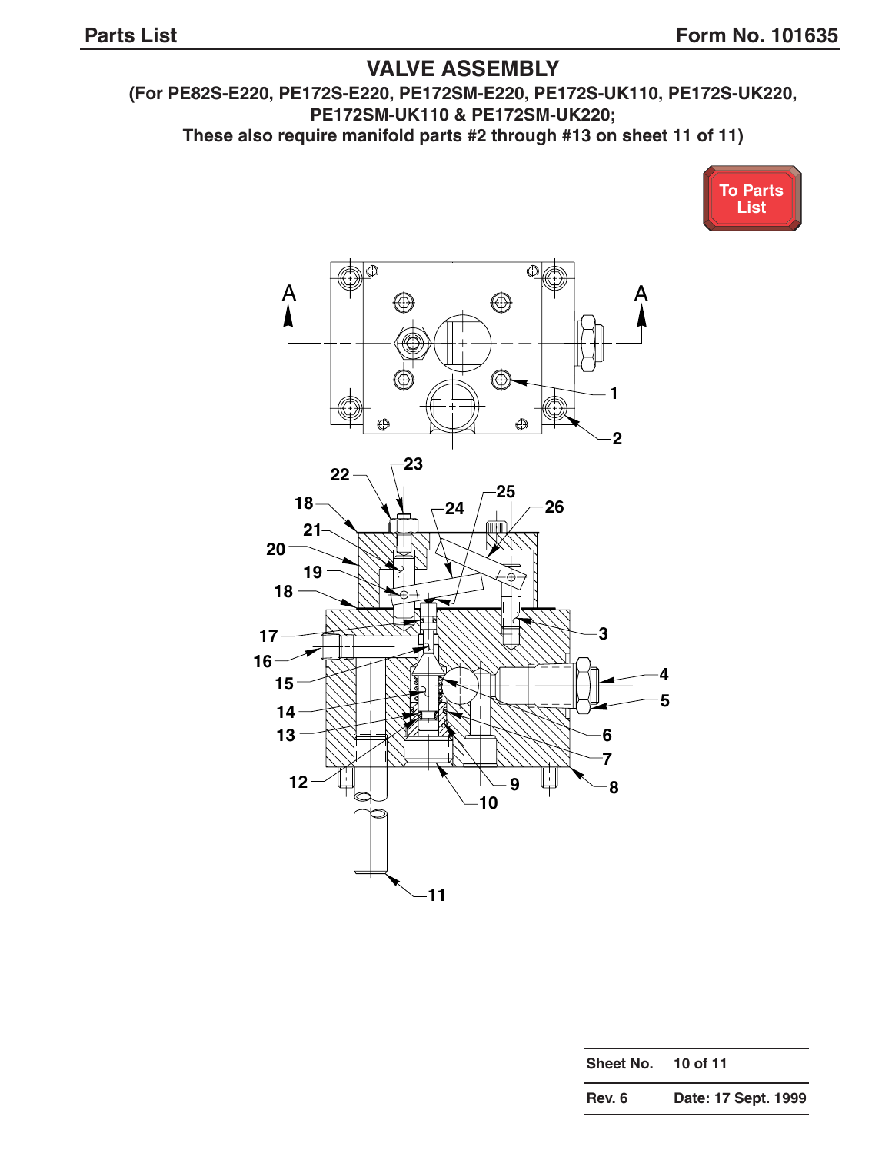#### **VALVE ASSEMBLY**

<span id="page-18-0"></span>**(For PE82S-E220, PE172S-E220, PE172SM-E220, PE172S-UK110, PE172S-UK220, PE172SM-UK110 & PE172SM-UK220;** 

**These also require manifold parts #2 through #13 on sheet 11 of 11)**





| Sheet No. 10 of 11 |  |
|--------------------|--|
|                    |  |

| Rev. 6 | Date: 17 Sept. 1999 |  |  |  |
|--------|---------------------|--|--|--|
|--------|---------------------|--|--|--|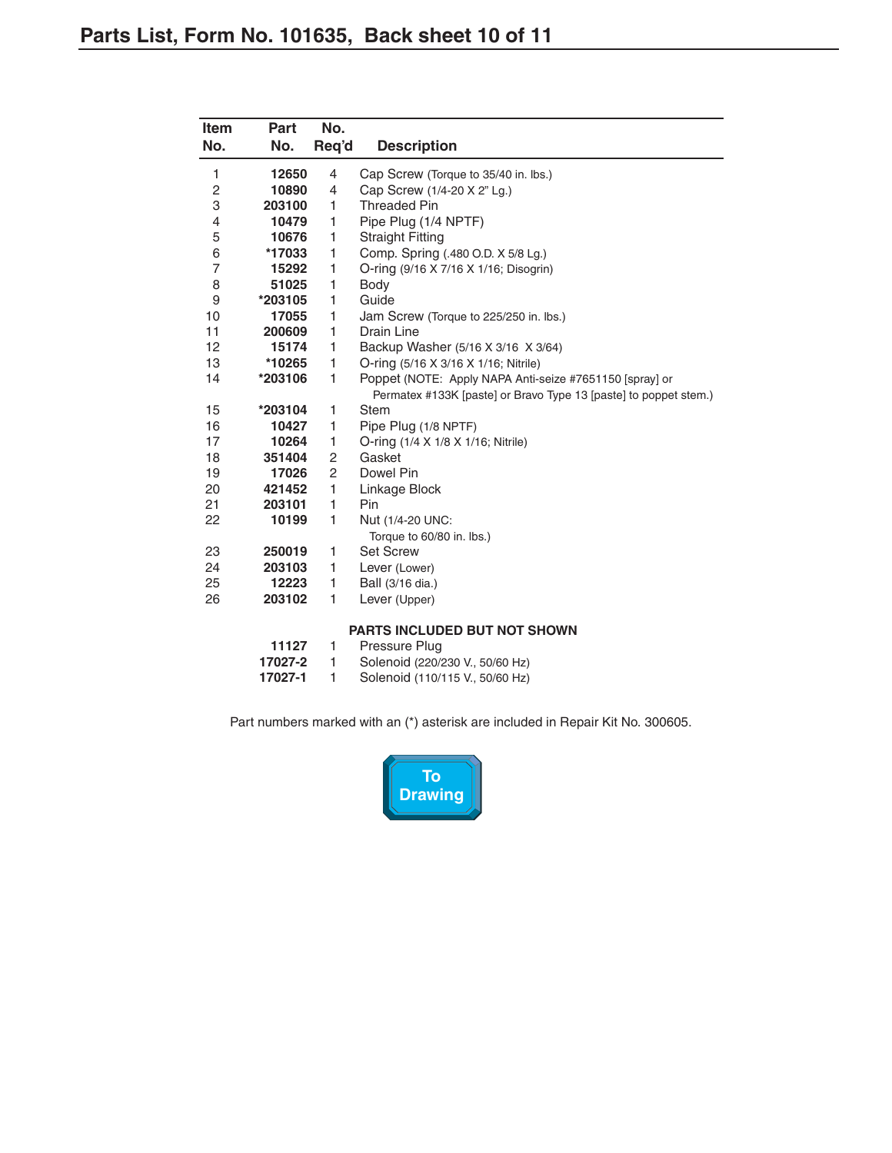<span id="page-19-0"></span>

| Item<br>No.             | Part<br>No. | No.<br>Req'd   | <b>Description</b>                                               |
|-------------------------|-------------|----------------|------------------------------------------------------------------|
| 1                       | 12650       | 4              | Cap Screw (Torque to 35/40 in. lbs.)                             |
| $\overline{\mathbf{c}}$ | 10890       | 4              | Cap Screw (1/4-20 X 2" Lg.)                                      |
| 3                       | 203100      | 1              | <b>Threaded Pin</b>                                              |
| 4                       | 10479       | 1              | Pipe Plug (1/4 NPTF)                                             |
| 5                       | 10676       | 1              | <b>Straight Fitting</b>                                          |
| 6                       | *17033      | 1              | Comp. Spring (.480 O.D. X 5/8 Lg.)                               |
| $\overline{7}$          | 15292       | 1              | O-ring (9/16 X 7/16 X 1/16; Disogrin)                            |
| 8                       | 51025       | 1              | Body                                                             |
| 9                       | *203105     | 1              | Guide                                                            |
| 10                      | 17055       | 1              | Jam Screw (Torque to 225/250 in. lbs.)                           |
| 11                      | 200609      | 1              | Drain Line                                                       |
| 12                      | 15174       | 1              | Backup Washer (5/16 X 3/16 X 3/64)                               |
| 13                      | *10265      | 1              | O-ring (5/16 X 3/16 X 1/16; Nitrile)                             |
| 14                      | *203106     | 1              | Poppet (NOTE: Apply NAPA Anti-seize #7651150 [spray] or          |
|                         |             |                | Permatex #133K [paste] or Bravo Type 13 [paste] to poppet stem.) |
| 15                      | *203104     | 1              | <b>Stem</b>                                                      |
| 16                      | 10427       | 1              | Pipe Plug (1/8 NPTF)                                             |
| 17                      | 10264       | 1              | O-ring (1/4 X 1/8 X 1/16; Nitrile)                               |
| 18                      | 351404      | 2              | Gasket                                                           |
| 19                      | 17026       | $\overline{c}$ | Dowel Pin                                                        |
| 20                      | 421452      | 1              | Linkage Block                                                    |
| 21                      | 203101      | 1              | Pin                                                              |
| 22                      | 10199       | 1              | Nut (1/4-20 UNC:<br>Torque to 60/80 in. lbs.)                    |
| 23                      | 250019      | 1              | <b>Set Screw</b>                                                 |
| 24                      | 203103      | 1              | Lever (Lower)                                                    |
| 25                      | 12223       | 1              | Ball (3/16 dia.)                                                 |
| 26                      | 203102      | 1              | Lever (Upper)                                                    |
|                         |             |                | <b>PARTS INCLUDED BUT NOT SHOWN</b>                              |
|                         | 11127       | 1              | Pressure Plug                                                    |
|                         | 17027-2     | 1              | Solenoid (220/230 V., 50/60 Hz)                                  |

**17027-1** 1 Solenoid (110/115 V., 50/60 Hz)

Part numbers marked with an (\*) asterisk are included in Repair Kit No. 300605.

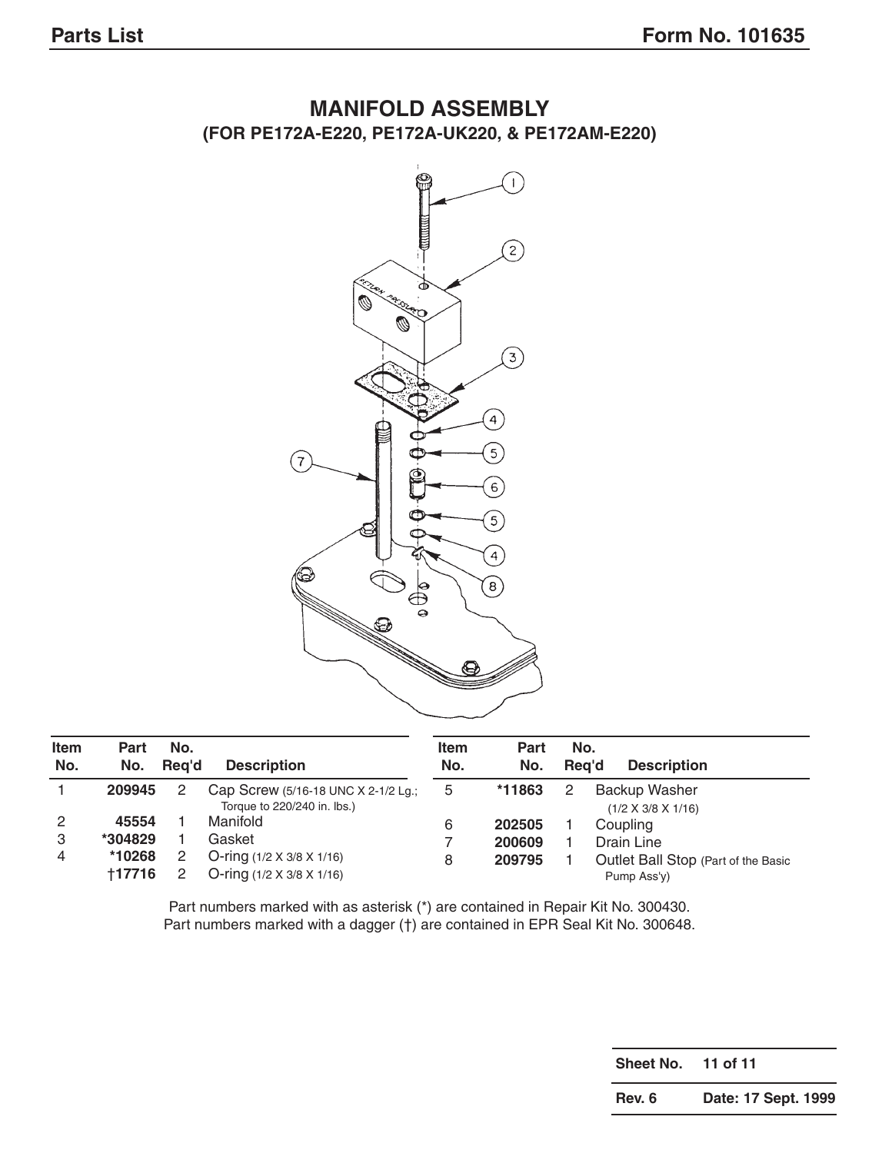



| <b>Item</b><br>No. | <b>Part</b><br>No. | No.<br>Rea'd | <b>Description</b>                                                 | <b>Item</b><br>No. | Part<br>No. | No.<br>Rea'd | <b>Description</b>                              |
|--------------------|--------------------|--------------|--------------------------------------------------------------------|--------------------|-------------|--------------|-------------------------------------------------|
|                    | 209945             | 2            | Cap Screw (5/16-18 UNC X 2-1/2 Lg.;<br>Torque to 220/240 in. lbs.) | 5                  | *11863      |              | Backup Washer<br>$(1/2 \times 3/8 \times 1/16)$ |
| 2                  | 45554              |              | Manifold                                                           | 6                  | 202505      |              | Coupling                                        |
| 3                  | *304829            |              | Gasket                                                             |                    | 200609      |              | Drain Line                                      |
| 4                  | *10268             |              | O-ring $(1/2 \times 3/8 \times 1/16)$                              | 8                  | 209795      |              | Outlet Ball Stop (Part of the Basic             |
|                    | +17716             |              | O-ring $(1/2 \times 3/8 \times 1/16)$                              |                    |             |              | Pump Ass'y)                                     |

Part numbers marked with as asterisk (\*) are contained in Repair Kit No. 300430. Part numbers marked with a dagger (†) are contained in EPR Seal Kit No. 300648.

**Sheet No. 11 of 11**

**Rev. 6 Date: 17 Sept. 1999**